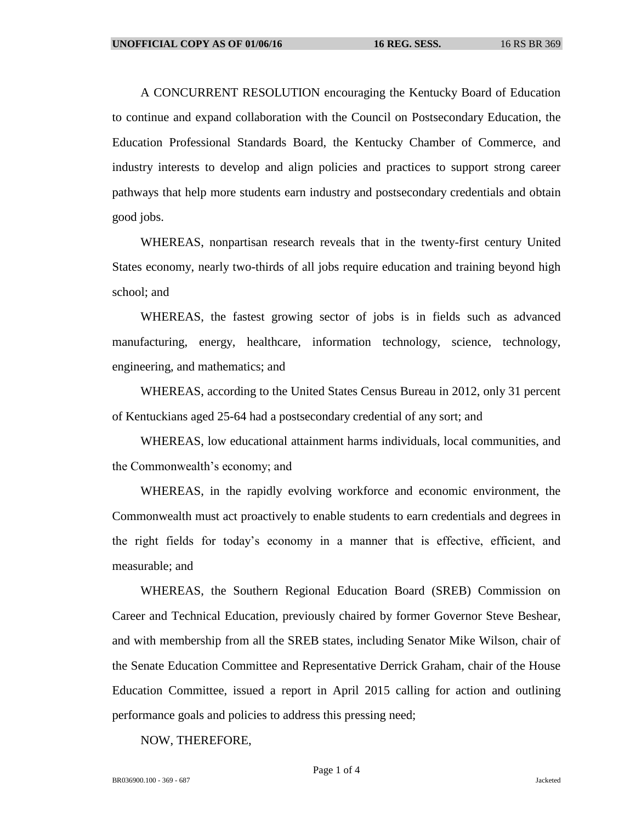A CONCURRENT RESOLUTION encouraging the Kentucky Board of Education to continue and expand collaboration with the Council on Postsecondary Education, the Education Professional Standards Board, the Kentucky Chamber of Commerce, and industry interests to develop and align policies and practices to support strong career pathways that help more students earn industry and postsecondary credentials and obtain good jobs.

WHEREAS, nonpartisan research reveals that in the twenty-first century United States economy, nearly two-thirds of all jobs require education and training beyond high school; and

WHEREAS, the fastest growing sector of jobs is in fields such as advanced manufacturing, energy, healthcare, information technology, science, technology, engineering, and mathematics; and

WHEREAS, according to the United States Census Bureau in 2012, only 31 percent of Kentuckians aged 25-64 had a postsecondary credential of any sort; and

WHEREAS, low educational attainment harms individuals, local communities, and the Commonwealth's economy; and

WHEREAS, in the rapidly evolving workforce and economic environment, the Commonwealth must act proactively to enable students to earn credentials and degrees in the right fields for today's economy in a manner that is effective, efficient, and measurable; and

WHEREAS, the Southern Regional Education Board (SREB) Commission on Career and Technical Education, previously chaired by former Governor Steve Beshear, and with membership from all the SREB states, including Senator Mike Wilson, chair of the Senate Education Committee and Representative Derrick Graham, chair of the House Education Committee, issued a report in April 2015 calling for action and outlining performance goals and policies to address this pressing need;

NOW, THEREFORE,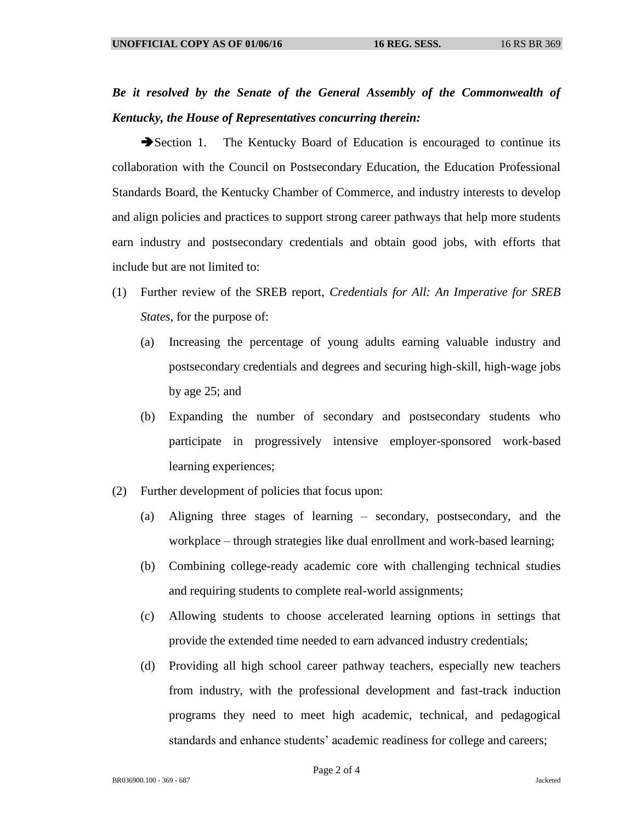## *Be it resolved by the Senate of the General Assembly of the Commonwealth of Kentucky, the House of Representatives concurring therein:*

Section 1. The Kentucky Board of Education is encouraged to continue its collaboration with the Council on Postsecondary Education, the Education Professional Standards Board, the Kentucky Chamber of Commerce, and industry interests to develop and align policies and practices to support strong career pathways that help more students earn industry and postsecondary credentials and obtain good jobs, with efforts that include but are not limited to:

- (1) Further review of the SREB report, *Credentials for All: An Imperative for SREB States*, for the purpose of:
	- (a) Increasing the percentage of young adults earning valuable industry and postsecondary credentials and degrees and securing high-skill, high-wage jobs by age 25; and
	- (b) Expanding the number of secondary and postsecondary students who participate in progressively intensive employer-sponsored work-based learning experiences;
- (2) Further development of policies that focus upon:
	- (a) Aligning three stages of learning secondary, postsecondary, and the workplace – through strategies like dual enrollment and work-based learning;
	- (b) Combining college-ready academic core with challenging technical studies and requiring students to complete real-world assignments;
	- (c) Allowing students to choose accelerated learning options in settings that provide the extended time needed to earn advanced industry credentials;
	- (d) Providing all high school career pathway teachers, especially new teachers from industry, with the professional development and fast-track induction programs they need to meet high academic, technical, and pedagogical standards and enhance students' academic readiness for college and careers;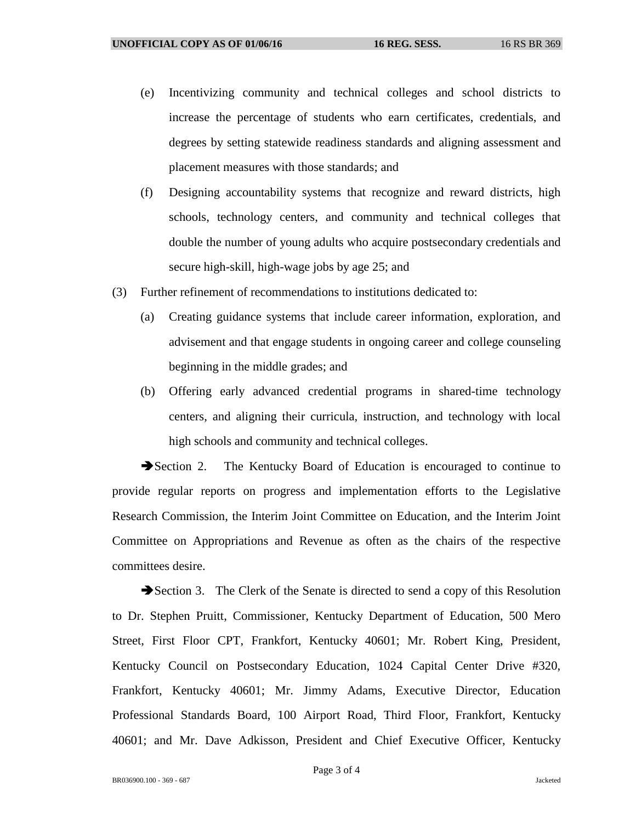- (e) Incentivizing community and technical colleges and school districts to increase the percentage of students who earn certificates, credentials, and degrees by setting statewide readiness standards and aligning assessment and placement measures with those standards; and
- (f) Designing accountability systems that recognize and reward districts, high schools, technology centers, and community and technical colleges that double the number of young adults who acquire postsecondary credentials and secure high-skill, high-wage jobs by age 25; and
- (3) Further refinement of recommendations to institutions dedicated to:
	- (a) Creating guidance systems that include career information, exploration, and advisement and that engage students in ongoing career and college counseling beginning in the middle grades; and
	- (b) Offering early advanced credential programs in shared-time technology centers, and aligning their curricula, instruction, and technology with local high schools and community and technical colleges.

Section 2. The Kentucky Board of Education is encouraged to continue to provide regular reports on progress and implementation efforts to the Legislative Research Commission, the Interim Joint Committee on Education, and the Interim Joint Committee on Appropriations and Revenue as often as the chairs of the respective committees desire.

Section 3. The Clerk of the Senate is directed to send a copy of this Resolution to Dr. Stephen Pruitt, Commissioner, Kentucky Department of Education, 500 Mero Street, First Floor CPT, Frankfort, Kentucky 40601; Mr. Robert King, President, Kentucky Council on Postsecondary Education, 1024 Capital Center Drive #320, Frankfort, Kentucky 40601; Mr. Jimmy Adams, Executive Director, Education Professional Standards Board, 100 Airport Road, Third Floor, Frankfort, Kentucky 40601; and Mr. Dave Adkisson, President and Chief Executive Officer, Kentucky